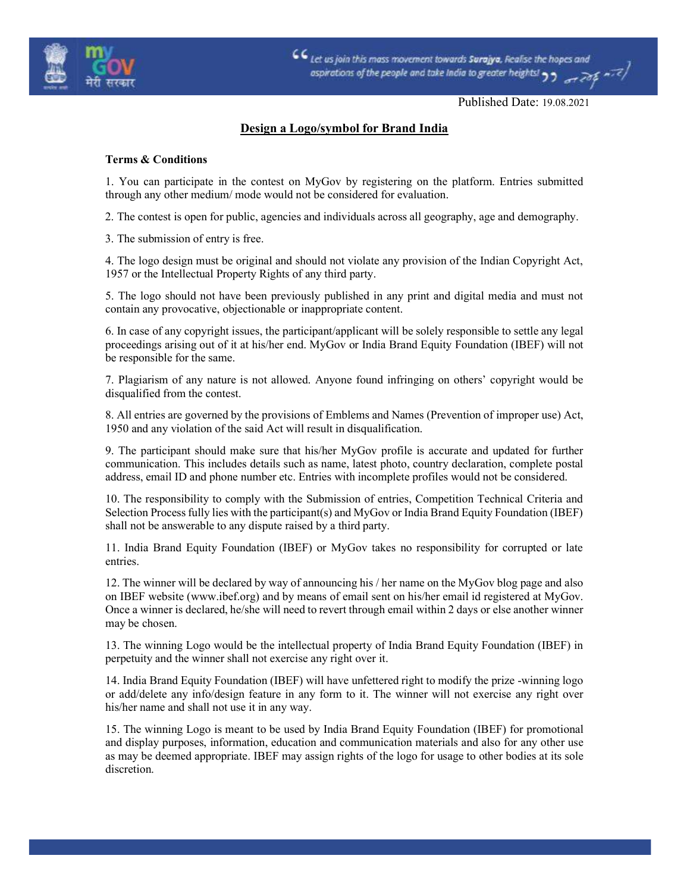

 $CC$  Let us join this mass movement towards Surajya, Realise the hopes and ospirations of the people and take India to greater heights!

Published Date: 19.08.2021

## Design a Logo/symbol for Brand India

## Terms & Conditions

1. You can participate in the contest on MyGov by registering on the platform. Entries submitted through any other medium/ mode would not be considered for evaluation.

2. The contest is open for public, agencies and individuals across all geography, age and demography.

3. The submission of entry is free.

4. The logo design must be original and should not violate any provision of the Indian Copyright Act, 1957 or the Intellectual Property Rights of any third party.

5. The logo should not have been previously published in any print and digital media and must not contain any provocative, objectionable or inappropriate content.

6. In case of any copyright issues, the participant/applicant will be solely responsible to settle any legal proceedings arising out of it at his/her end. MyGov or India Brand Equity Foundation (IBEF) will not be responsible for the same.

7. Plagiarism of any nature is not allowed. Anyone found infringing on others' copyright would be disqualified from the contest.

8. All entries are governed by the provisions of Emblems and Names (Prevention of improper use) Act, 1950 and any violation of the said Act will result in disqualification.

9. The participant should make sure that his/her MyGov profile is accurate and updated for further communication. This includes details such as name, latest photo, country declaration, complete postal address, email ID and phone number etc. Entries with incomplete profiles would not be considered.

10. The responsibility to comply with the Submission of entries, Competition Technical Criteria and Selection Process fully lies with the participant(s) and MyGov or India Brand Equity Foundation (IBEF) shall not be answerable to any dispute raised by a third party.

11. India Brand Equity Foundation (IBEF) or MyGov takes no responsibility for corrupted or late entries.

12. The winner will be declared by way of announcing his / her name on the MyGov blog page and also on IBEF website (www.ibef.org) and by means of email sent on his/her email id registered at MyGov. Once a winner is declared, he/she will need to revert through email within 2 days or else another winner may be chosen.

13. The winning Logo would be the intellectual property of India Brand Equity Foundation (IBEF) in perpetuity and the winner shall not exercise any right over it.

14. India Brand Equity Foundation (IBEF) will have unfettered right to modify the prize -winning logo or add/delete any info/design feature in any form to it. The winner will not exercise any right over his/her name and shall not use it in any way.

15. The winning Logo is meant to be used by India Brand Equity Foundation (IBEF) for promotional and display purposes, information, education and communication materials and also for any other use as may be deemed appropriate. IBEF may assign rights of the logo for usage to other bodies at its sole discretion.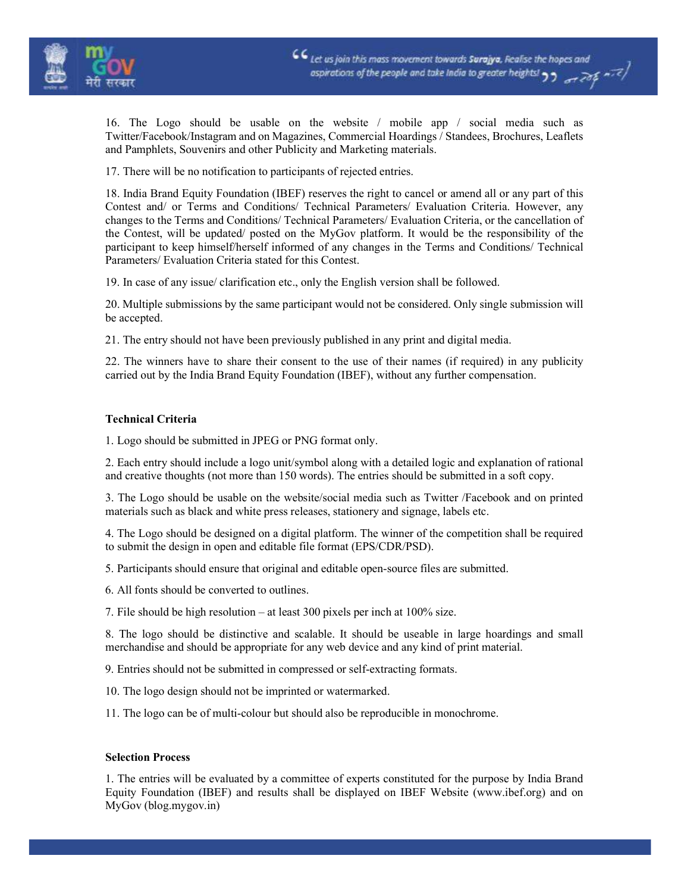

16. The Logo should be usable on the website / mobile app / social media such as Twitter/Facebook/Instagram and on Magazines, Commercial Hoardings / Standees, Brochures, Leaflets and Pamphlets, Souvenirs and other Publicity and Marketing materials.

17. There will be no notification to participants of rejected entries.

18. India Brand Equity Foundation (IBEF) reserves the right to cancel or amend all or any part of this Contest and/ or Terms and Conditions/ Technical Parameters/ Evaluation Criteria. However, any changes to the Terms and Conditions/ Technical Parameters/ Evaluation Criteria, or the cancellation of the Contest, will be updated/ posted on the MyGov platform. It would be the responsibility of the participant to keep himself/herself informed of any changes in the Terms and Conditions/ Technical Parameters/ Evaluation Criteria stated for this Contest.

19. In case of any issue/ clarification etc., only the English version shall be followed.

20. Multiple submissions by the same participant would not be considered. Only single submission will be accepted.

21. The entry should not have been previously published in any print and digital media.

22. The winners have to share their consent to the use of their names (if required) in any publicity carried out by the India Brand Equity Foundation (IBEF), without any further compensation.

## Technical Criteria

1. Logo should be submitted in JPEG or PNG format only.

2. Each entry should include a logo unit/symbol along with a detailed logic and explanation of rational and creative thoughts (not more than 150 words). The entries should be submitted in a soft copy.

3. The Logo should be usable on the website/social media such as Twitter /Facebook and on printed materials such as black and white press releases, stationery and signage, labels etc.

4. The Logo should be designed on a digital platform. The winner of the competition shall be required to submit the design in open and editable file format (EPS/CDR/PSD).

5. Participants should ensure that original and editable open-source files are submitted.

6. All fonts should be converted to outlines.

7. File should be high resolution – at least 300 pixels per inch at 100% size.

8. The logo should be distinctive and scalable. It should be useable in large hoardings and small merchandise and should be appropriate for any web device and any kind of print material.

9. Entries should not be submitted in compressed or self-extracting formats.

10. The logo design should not be imprinted or watermarked.

11. The logo can be of multi-colour but should also be reproducible in monochrome.

## Selection Process

1. The entries will be evaluated by a committee of experts constituted for the purpose by India Brand Equity Foundation (IBEF) and results shall be displayed on IBEF Website (www.ibef.org) and on MyGov (blog.mygov.in)